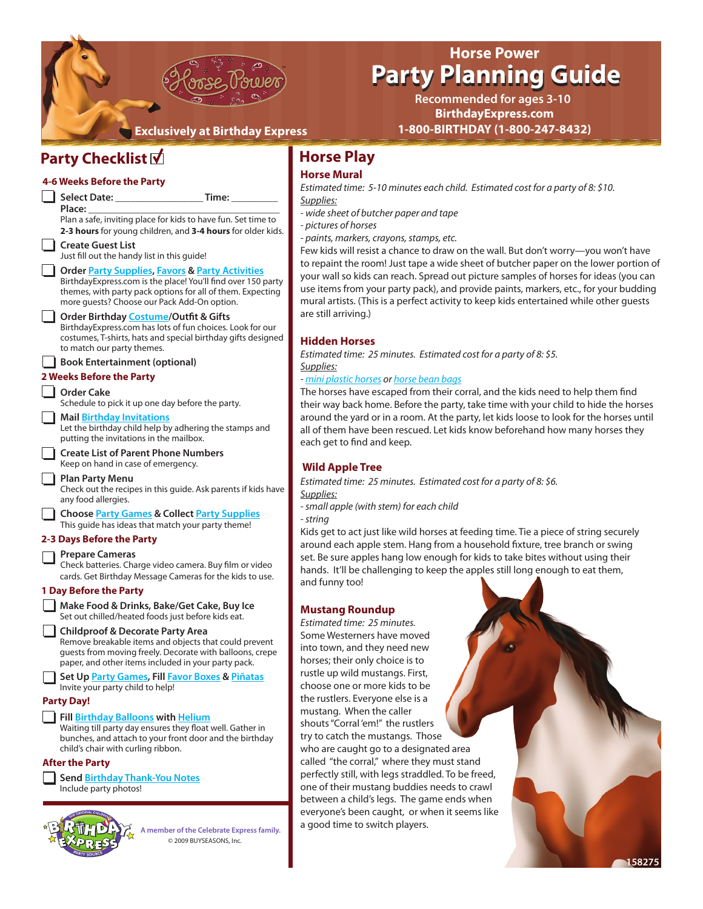

# **[Horse Power](http://www.birthdayexpress.com/Horse-Power-Party-Supplies/42064/PartyKitDetail.aspx) Party Planning Guide Party Planning Guide**

**BirthdayExpress.com 1-800-BIRTHDAY (1-800-247-8432) Recommended for ages 3-10**

# **Party Checklist**

#### *Supplies: Supplies: Supplies: - string* and funny too! **Select Date: \_\_\_\_\_\_\_\_\_\_\_\_\_\_\_\_\_ Time: \_\_\_\_\_\_\_\_\_ Place: \_\_\_\_\_\_\_\_\_\_\_\_\_\_\_\_\_\_\_\_\_\_\_\_\_\_\_\_\_\_\_\_\_\_\_\_\_** Plan a safe, inviting place for kids to have fun. Set time to **2-3 hours** for young children, and **3-4 hours** for older kids. **Create Guest List** Just fill out the handy list in this guide! **Orde[r Party Supplies,](http://www.birthdayexpress.com) [Favors &](http://www.birthdayexpress.com/browse/Favors-Toys/_/N-iZ1g/results1.aspx) [Party Activities](http://www.birthdayexpress.com/browse/Games-Activities/_/N-iZ1h/results1.aspx)** BirthdayExpress.com is the place! You'll find over 150 party themes, with party pack options for all of them. Expecting more guests? Choose our Pack Add-On option. **Order Birthday [Costume/](http://www.costumeexpress.com)Outfit & Gifts** BirthdayExpress.com has lots of fun choices. Look for our costumes, T-shirts, hats and special birthday gifts designed to match our party themes. **Book Entertainment (optional) Order Cake** Schedule to pick it up one day before the party. **Mail [Birthday Invitations](http://www.birthdayexpress.com/browse/Invites-Thank-yous/_/N-iZ30/results1.aspx)** Let the birthday child help by adhering the stamps and putting the invitations in the mailbox. **Create List of Parent Phone Numbers**  Keep on hand in case of emergency. **Plan Party Menu** Check out the recipes in this guide. Ask parents if kids have any food allergies. **Choose [Party Games](http://www.birthdayexpress.com/browse/Games/_/N-iZz/results1.aspx) & Collect [Party Supplies](http://www.birthdayexpress.com)** This guide has ideas that match your party theme! **Prepare Cameras** Check batteries. Charge video camera. Buy film or video cards. Get Birthday Message Cameras for the kids to use. **Make Food & Drinks, Bake/Get Cake, Buy Ice** Set out chilled/heated foods just before kids eat. **Childproof & Decorate Party Area** Remove breakable items and objects that could prevent guests from moving freely. Decorate with balloons, crepe paper, and other items included in your party pack. **Set Up [Party Games,](http://www.birthdayexpress.com/browse/Games/_/N-iZz/results1.aspx) Fil[l Favor Boxes](http://www.birthdayexpress.com/browse/Filled-Favor-Boxes/_/N-iZv/results1.aspx) & [Piñatas](http://www.birthdayexpress.com/browse/Pinatas/_/N-iZ1i/results1.aspx)** Invite your party child to help! **Fill [Birthday Balloons](http://www.birthdayexpress.com/browse/Mylar-Balloons/_/N-iZ1z141t8/results1.aspx) with [Helium](http://www.birthdayexpress.com/Disposable-Balloon-Helium-Tank/24500/ProductDetail.aspx)** Waiting till party day ensures they float well. Gather in bunches, and attach to your front door and the birthday child's chair with curling ribbon. **Send [Birthday Thank-You Notes](http://www.birthdayexpress.com/browse/Invites-Thank-yous/_/N-iZ30/results1.aspx)** Include party photos! **4-6 Weeks Before the Party 2 Weeks Before the Party 2-3 Days Before the Party 1 Day Before the Party Party Day! After the Party A member of the Celebrate Express family.**

© 2009 BUYSEASONS, Inc.

# **Horse Play**

### **Horse Mural**

*Estimated time: 5-10 minutes each child. Estimated cost for a party of 8: \$10.*

- *wide sheet of butcher paper and tape*
- *pictures of horses*

*- paints, markers, crayons, stamps, etc.*

Few kids will resist a chance to draw on the wall. But don't worry—you won't have to repaint the room! Just tape a wide sheet of butcher paper on the lower portion of your wall so kids can reach. Spread out picture samples of horses for ideas (you can use items from your party pack), and provide paints, markers, etc., for your budding mural artists. (This is a perfect activity to keep kids entertained while other guests are still arriving.)

#### **Hidden Horses**

*Estimated time: 25 minutes. Estimated cost for a party of 8: \$5.*

#### *- [mini plastic horses o](http://www.birthdayexpress.com/Mini-Plastic-Horses/58033/PartyItemDetail.aspx)r [horse bean bags](http://www.birthdayexpress.com/Horse-Bean-Bag/52045/PartyItemDetail.aspx)*

The horses have escaped from their corral, and the kids need to help them find their way back home. Before the party, take time with your child to hide the horses around the yard or in a room. At the party, let kids loose to look for the horses until all of them have been rescued. Let kids know beforehand how many horses they each get to find and keep.

#### **Wild Apple Tree**

*Estimated time: 25 minutes. Estimated cost for a party of 8: \$6.*

*- small apple (with stem) for each child* 

Kids get to act just like wild horses at feeding time. Tie a piece of string securely around each apple stem. Hang from a household fixture, tree branch or swing set. Be sure apples hang low enough for kids to take bites without using their hands. It'll be challenging to keep the apples still long enough to eat them,

#### **Mustang Roundup**

*Estimated time: 25 minutes.*  Some Westerners have moved into town, and they need new horses; their only choice is to rustle up wild mustangs. First, choose one or more kids to be the rustlers. Everyone else is a mustang. When the caller shouts "Corral 'em!" the rustlers try to catch the mustangs. Those who are caught go to a designated area called "the corral," where they must stand perfectly still, with legs straddled. To be freed, one of their mustang buddies needs to crawl between a child's legs. The game ends when everyone's been caught, or when it seems like a good time to switch players.